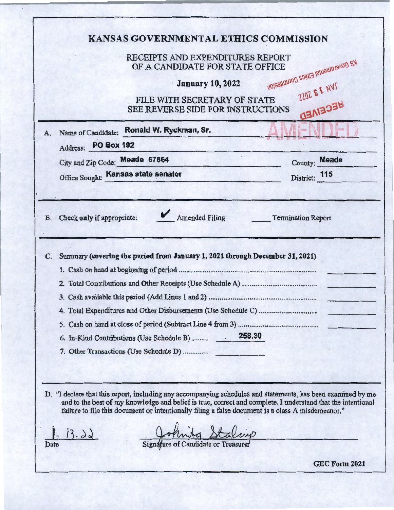|                     | RECEIPTS AND EXPENDITURES REPORT<br>OF A CANDIDATE FOR STATE OFFICE                                                                                                                                              |                                     | <b>K2 Governmental Ethics Commission</b>                                                                     |
|---------------------|------------------------------------------------------------------------------------------------------------------------------------------------------------------------------------------------------------------|-------------------------------------|--------------------------------------------------------------------------------------------------------------|
|                     |                                                                                                                                                                                                                  | <b>January 10, 2022</b>             |                                                                                                              |
|                     | FILE WITH SECRETARY OF STATE<br>SEE REVERSE SIDE FOR INSTRUCTIONS                                                                                                                                                |                                     | ZZOZ E I NVI<br>BECEIVED                                                                                     |
| A.                  | Name of Candidate: Ronald W. Ryckman, Sr.                                                                                                                                                                        |                                     |                                                                                                              |
| Address: PO Box 192 |                                                                                                                                                                                                                  |                                     |                                                                                                              |
|                     | City and Zip Code: Meade 67864                                                                                                                                                                                   |                                     | County: Meade                                                                                                |
|                     | Office Sought: Kansas state senator                                                                                                                                                                              |                                     | District: 115                                                                                                |
| C.                  | Summary (covering the period from January 1, 2021 through December 31, 2021)                                                                                                                                     |                                     |                                                                                                              |
|                     |                                                                                                                                                                                                                  |                                     |                                                                                                              |
|                     |                                                                                                                                                                                                                  |                                     |                                                                                                              |
|                     | 6. In-Kind Contributions (Use Schedule B)                                                                                                                                                                        | 258.30                              |                                                                                                              |
|                     | 7. Other Transactions (Use Schedule D)                                                                                                                                                                           |                                     |                                                                                                              |
|                     |                                                                                                                                                                                                                  |                                     | D. "I declare that this report, including any accompanying schedules and statements, has been examined by me |
|                     | and to the best of my knowledge and belief is true, correct and complete. I understand that the intentional<br>failure to file this document or intentionally filing a false document is a class A misdemeanor." |                                     |                                                                                                              |
| $3 - 22$            |                                                                                                                                                                                                                  |                                     |                                                                                                              |
| Date                |                                                                                                                                                                                                                  | Signature of Candidate or Treasurer | GEC Form 2021                                                                                                |